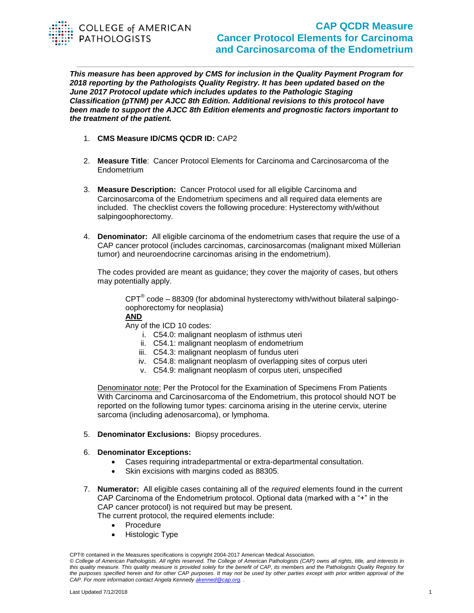

## **CAP QCDR Measure Cancer Protocol Elements for Carcinoma and Carcinosarcoma of the Endometrium**

*This measure has been approved by CMS for inclusion in the Quality Payment Program for 2018 reporting by the Pathologists Quality Registry. It has been updated based on the June 2017 Protocol update which includes updates to the Pathologic Staging Classification (pTNM) per AJCC 8th Edition. Additional revisions to this protocol have been made to support the AJCC 8th Edition elements and prognostic factors important to the treatment of the patient.*

- 1. **CMS Measure ID/CMS QCDR ID:** CAP2
- 2. **Measure Title**: Cancer Protocol Elements for Carcinoma and Carcinosarcoma of the **Endometrium**
- 3. **Measure Description:** Cancer Protocol used for all eligible Carcinoma and Carcinosarcoma of the Endometrium specimens and all required data elements are included. The checklist covers the following procedure: Hysterectomy with/without salpingoophorectomy.
- 4. **Denominator:** All eligible carcinoma of the endometrium cases that require the use of a CAP cancer protocol (includes carcinomas, carcinosarcomas (malignant mixed Müllerian tumor) and neuroendocrine carcinomas arising in the endometrium).

The codes provided are meant as guidance; they cover the majority of cases, but others may potentially apply.

 $CPT^{\circledast}$  code – 88309 (for abdominal hysterectomy with/without bilateral salpingooophorectomy for neoplasia)

**AND** 

Any of the ICD 10 codes:

- i. C54.0: malignant neoplasm of isthmus uteri
- ii. C54.1: malignant neoplasm of endometrium
- iii. C54.3: malignant neoplasm of fundus uteri
- iv. C54.8: malignant neoplasm of overlapping sites of corpus uteri
- v. C54.9: malignant neoplasm of corpus uteri, unspecified

Denominator note: Per the Protocol for the Examination of Specimens From Patients With Carcinoma and Carcinosarcoma of the Endometrium, this protocol should NOT be reported on the following tumor types: carcinoma arising in the uterine cervix, uterine sarcoma (including adenosarcoma), or lymphoma.

- 5. **Denominator Exclusions:** Biopsy procedures.
- 6. **Denominator Exceptions:** 
	- Cases requiring intradepartmental or extra-departmental consultation.
	- Skin excisions with margins coded as 88305.
- 7. **Numerator:** All eligible cases containing all of the *required* elements found in the current CAP Carcinoma of the Endometrium protocol. Optional data (marked with a "+" in the CAP cancer protocol) is not required but may be present. The current protocol, the required elements include:
	- Procedure
	- Histologic Type

CPT® contained in the Measures specifications is copyright 2004-2017 American Medical Association.

*<sup>©</sup> College of American Pathologists. All rights reserved. The College of American Pathologists (CAP) owns all rights, title, and interests in this quality measure. This quality measure is provided solely for the benefit of CAP, its members and the Pathologists Quality Registry for the purposes specified herein and for other CAP purposes. It may not be used by other parties except with prior written approval of the CAP. For more information contact Angela Kennedy [akenned@cap.org.](mailto:akenned@cap.org) .*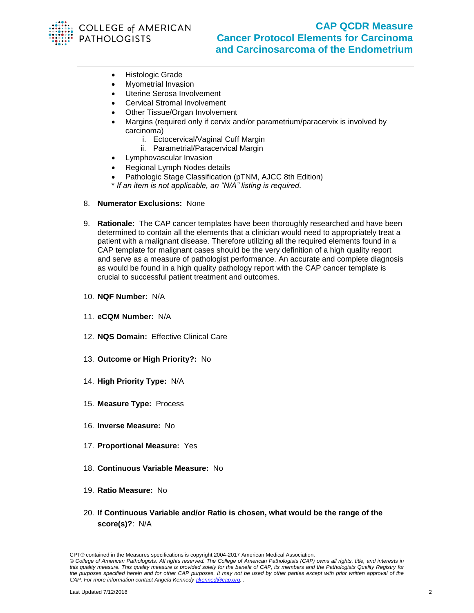

- **•** Histologic Grade
	- Myometrial Invasion
	- Uterine Serosa Involvement
- Cervical Stromal Involvement
- Other Tissue/Organ Involvement
- Margins (required only if cervix and/or parametrium/paracervix is involved by carcinoma)
	- i. Ectocervical/Vaginal Cuff Margin
	- ii. Parametrial/Paracervical Margin
- Lymphovascular Invasion
- Regional Lymph Nodes details
- Pathologic Stage Classification (pTNM, AJCC 8th Edition)
- \* *If an item is not applicable, an "N/A" listing is required.*
- 8. **Numerator Exclusions:** None
- 9. **Rationale:** The CAP cancer templates have been thoroughly researched and have been determined to contain all the elements that a clinician would need to appropriately treat a patient with a malignant disease. Therefore utilizing all the required elements found in a CAP template for malignant cases should be the very definition of a high quality report and serve as a measure of pathologist performance. An accurate and complete diagnosis as would be found in a high quality pathology report with the CAP cancer template is crucial to successful patient treatment and outcomes.
- 10. **NQF Number:** N/A
- 11. **eCQM Number:** N/A
- 12. **NQS Domain:** Effective Clinical Care
- 13. **Outcome or High Priority?:** No
- 14. **High Priority Type:** N/A
- 15. **Measure Type:** Process
- 16. **Inverse Measure:** No
- 17. **Proportional Measure:** Yes
- 18. **Continuous Variable Measure:** No
- 19. **Ratio Measure:** No
- 20. **If Continuous Variable and/or Ratio is chosen, what would be the range of the score(s)?**: N/A

CPT® contained in the Measures specifications is copyright 2004-2017 American Medical Association.

*<sup>©</sup> College of American Pathologists. All rights reserved. The College of American Pathologists (CAP) owns all rights, title, and interests in this quality measure. This quality measure is provided solely for the benefit of CAP, its members and the Pathologists Quality Registry for the purposes specified herein and for other CAP purposes. It may not be used by other parties except with prior written approval of the CAP. For more information contact Angela Kennedy [akenned@cap.org.](mailto:akenned@cap.org) .*